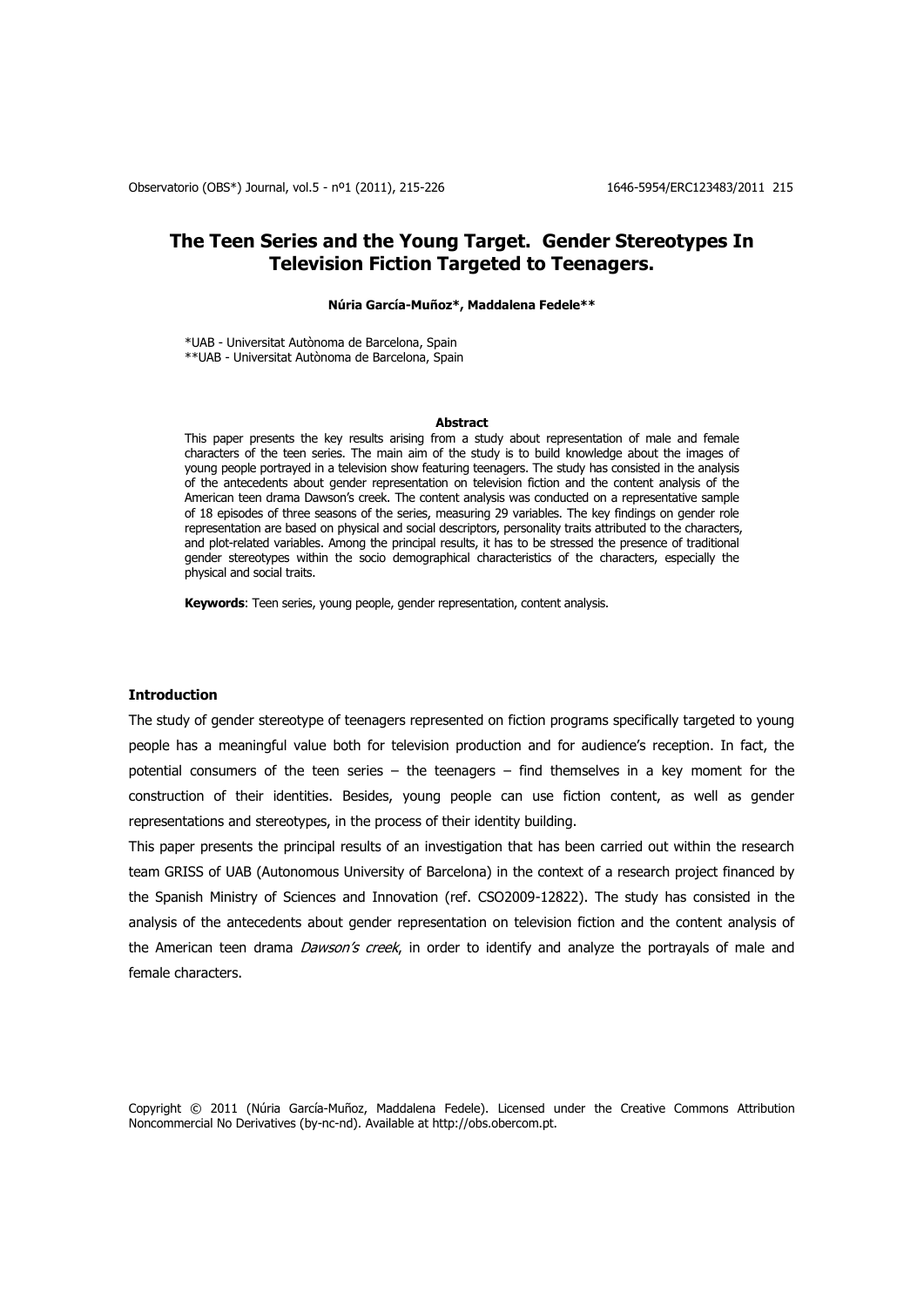# **The Teen Series and the Young Target. Gender Stereotypes In Television Fiction Targeted to Teenagers.**

# **Núria García-Muñoz\*, Maddalena Fedele\*\***

\*UAB - Universitat Autònoma de Barcelona, Spain \*\*UAB - Universitat Autònoma de Barcelona, Spain

#### **Abstract**

This paper presents the key results arising from a study about representation of male and female characters of the teen series. The main aim of the study is to build knowledge about the images of young people portrayed in a television show featuring teenagers. The study has consisted in the analysis of the antecedents about gender representation on television fiction and the content analysis of the American teen drama Dawson's creek. The content analysis was conducted on a representative sample of 18 episodes of three seasons of the series, measuring 29 variables. The key findings on gender role representation are based on physical and social descriptors, personality traits attributed to the characters, and plot-related variables. Among the principal results, it has to be stressed the presence of traditional gender stereotypes within the socio demographical characteristics of the characters, especially the physical and social traits.

**Keywords**: Teen series, young people, gender representation, content analysis.

# **Introduction**

The study of gender stereotype of teenagers represented on fiction programs specifically targeted to young people has a meaningful value both for television production and for audience's reception. In fact, the potential consumers of the teen series – the teenagers – find themselves in a key moment for the construction of their identities. Besides, young people can use fiction content, as well as gender representations and stereotypes, in the process of their identity building.

This paper presents the principal results of an investigation that has been carried out within the research team GRISS of UAB (Autonomous University of Barcelona) in the context of a research project financed by the Spanish Ministry of Sciences and Innovation (ref. CSO2009-12822). The study has consisted in the analysis of the antecedents about gender representation on television fiction and the content analysis of the American teen drama *Dawson's creek*, in order to identify and analyze the portrayals of male and female characters.

Copyright © 2011 (Núria García-Muñoz, Maddalena Fedele). Licensed under the Creative Commons Attribution Noncommercial No Derivatives (by-nc-nd). Available at http://obs.obercom.pt.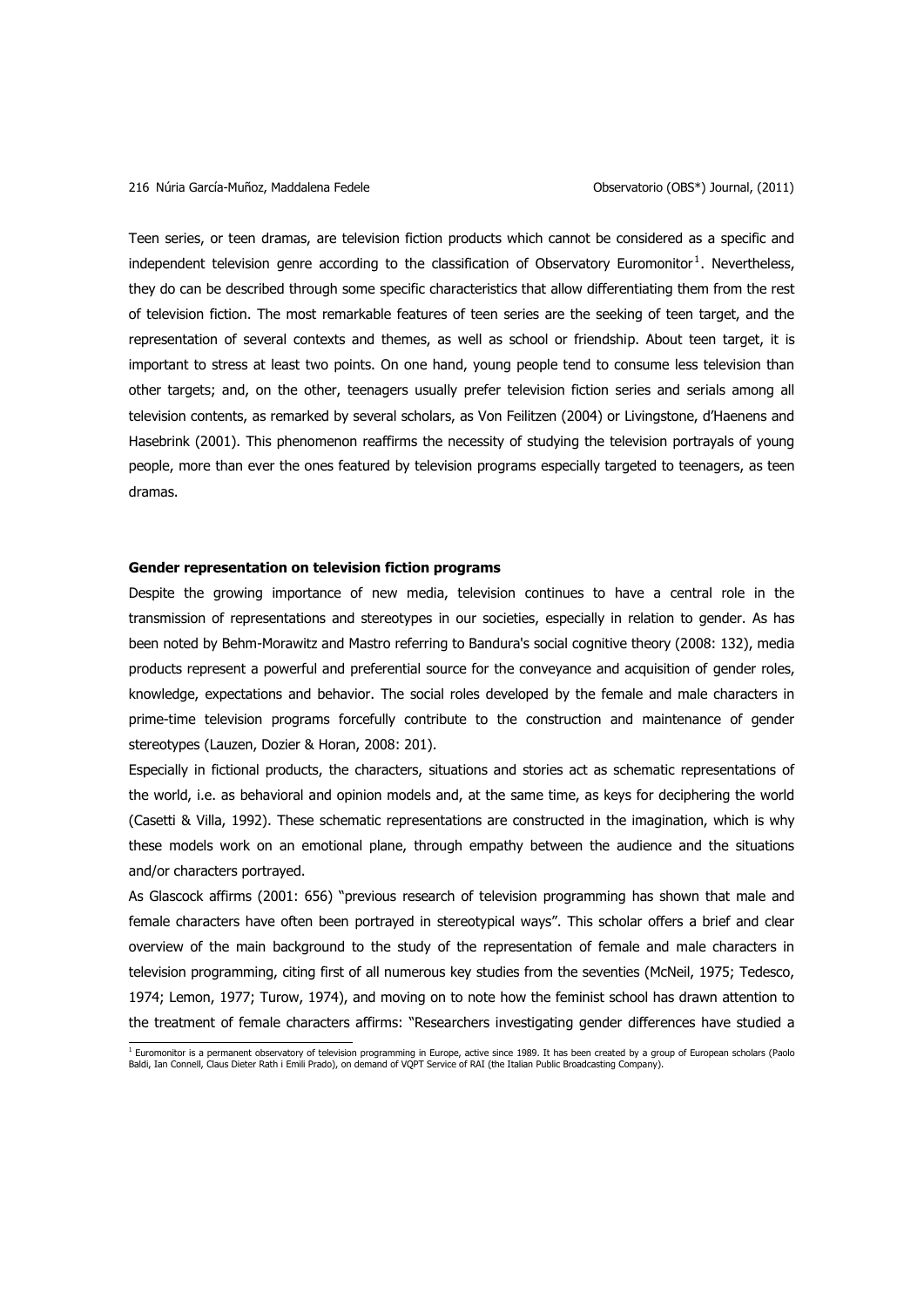Teen series, or teen dramas, are television fiction products which cannot be considered as a specific and independent television genre according to the classification of Observatory Euromonitor<sup>1</sup>. Nevertheless, they do can be described through some specific characteristics that allow differentiating them from the rest of television fiction. The most remarkable features of teen series are the seeking of teen target, and the representation of several contexts and themes, as well as school or friendship. About teen target, it is important to stress at least two points. On one hand, young people tend to consume less television than other targets; and, on the other, teenagers usually prefer television fiction series and serials among all television contents, as remarked by several scholars, as Von Feilitzen (2004) or Livingstone, d"Haenens and Hasebrink (2001). This phenomenon reaffirms the necessity of studying the television portrayals of young people, more than ever the ones featured by television programs especially targeted to teenagers, as teen dramas.

# **Gender representation on television fiction programs**

Despite the growing importance of new media, television continues to have a central role in the transmission of representations and stereotypes in our societies, especially in relation to gender. As has been noted by Behm-Morawitz and Mastro referring to Bandura's social cognitive theory (2008: 132), media products represent a powerful and preferential source for the conveyance and acquisition of gender roles, knowledge, expectations and behavior. The social roles developed by the female and male characters in prime-time television programs forcefully contribute to the construction and maintenance of gender stereotypes (Lauzen, Dozier & Horan, 2008: 201).

Especially in fictional products, the characters, situations and stories act as schematic representations of the world, i.e. as behavioral and opinion models and, at the same time, as keys for deciphering the world (Casetti & Villa, 1992). These schematic representations are constructed in the imagination, which is why these models work on an emotional plane, through empathy between the audience and the situations and/or characters portrayed.

As Glascock affirms (2001: 656) "previous research of television programming has shown that male and female characters have often been portrayed in stereotypical ways". This scholar offers a brief and clear overview of the main background to the study of the representation of female and male characters in television programming, citing first of all numerous key studies from the seventies (McNeil, 1975; Tedesco, 1974; Lemon, 1977; Turow, 1974), and moving on to note how the feminist school has drawn attention to the treatment of female characters affirms: "Researchers investigating gender differences have studied a

i<br>Baltin monitor is a permanent observatory of television programming in Europe, active since 1989. It has been created by a group of European scholars (Paolo)<br>Baldi, Ian Connell, Claus Dieter Rath i Emili Prado), on deman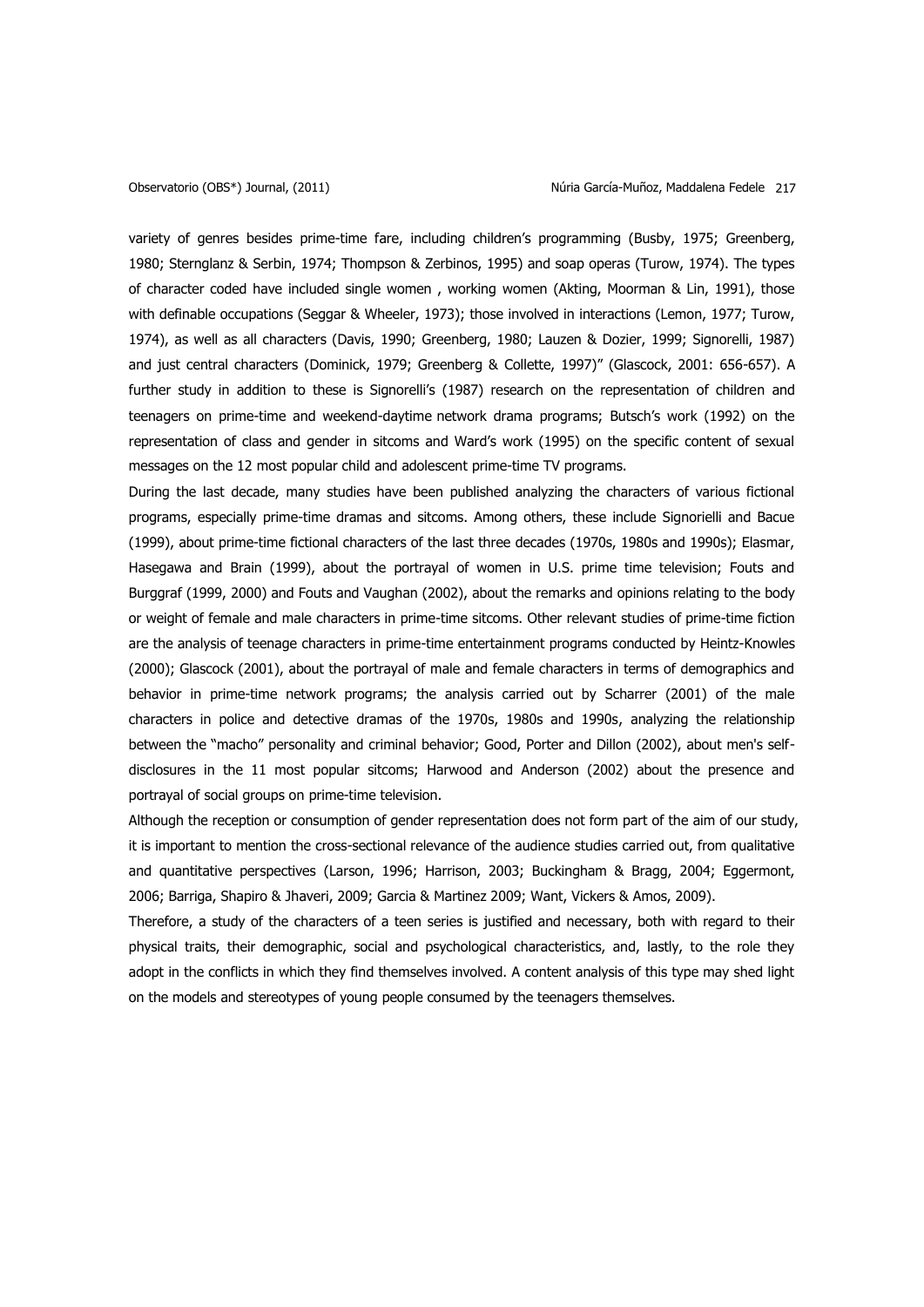variety of genres besides prime-time fare, including children"s programming (Busby, 1975; Greenberg, 1980; Sternglanz & Serbin, 1974; Thompson & Zerbinos, 1995) and soap operas (Turow, 1974). The types of character coded have included single women , working women (Akting, Moorman & Lin, 1991), those with definable occupations (Seggar & Wheeler, 1973); those involved in interactions (Lemon, 1977; Turow, 1974), as well as all characters (Davis, 1990; Greenberg, 1980; Lauzen & Dozier, 1999; Signorelli, 1987) and just central characters (Dominick, 1979; Greenberg & Collette, 1997)" (Glascock, 2001: 656-657). A further study in addition to these is Signorelli's (1987) research on the representation of children and teenagers on prime-time and weekend-daytime network drama programs; Butsch"s work (1992) on the representation of class and gender in sitcoms and Ward"s work (1995) on the specific content of sexual messages on the 12 most popular child and adolescent prime-time TV programs.

During the last decade, many studies have been published analyzing the characters of various fictional programs, especially prime-time dramas and sitcoms. Among others, these include Signorielli and Bacue (1999), about prime-time fictional characters of the last three decades (1970s, 1980s and 1990s); Elasmar, Hasegawa and Brain (1999), about the portrayal of women in U.S. prime time television; Fouts and Burggraf (1999, 2000) and Fouts and Vaughan (2002), about the remarks and opinions relating to the body or weight of female and male characters in prime-time sitcoms. Other relevant studies of prime-time fiction are the analysis of teenage characters in prime-time entertainment programs conducted by Heintz-Knowles (2000); Glascock (2001), about the portrayal of male and female characters in terms of demographics and behavior in prime-time network programs; the analysis carried out by Scharrer (2001) of the male characters in police and detective dramas of the 1970s, 1980s and 1990s, analyzing the relationship between the "macho" personality and criminal behavior; Good, Porter and Dillon (2002), about men's selfdisclosures in the 11 most popular sitcoms; Harwood and Anderson (2002) about the presence and portrayal of social groups on prime-time television.

Although the reception or consumption of gender representation does not form part of the aim of our study, it is important to mention the cross-sectional relevance of the audience studies carried out, from qualitative and quantitative perspectives (Larson, 1996; Harrison, 2003; Buckingham & Bragg, 2004; Eggermont, 2006; Barriga, Shapiro & Jhaveri, 2009; Garcia & Martinez 2009; Want, Vickers & Amos, 2009).

Therefore, a study of the characters of a teen series is justified and necessary, both with regard to their physical traits, their demographic, social and psychological characteristics, and, lastly, to the role they adopt in the conflicts in which they find themselves involved. A content analysis of this type may shed light on the models and stereotypes of young people consumed by the teenagers themselves.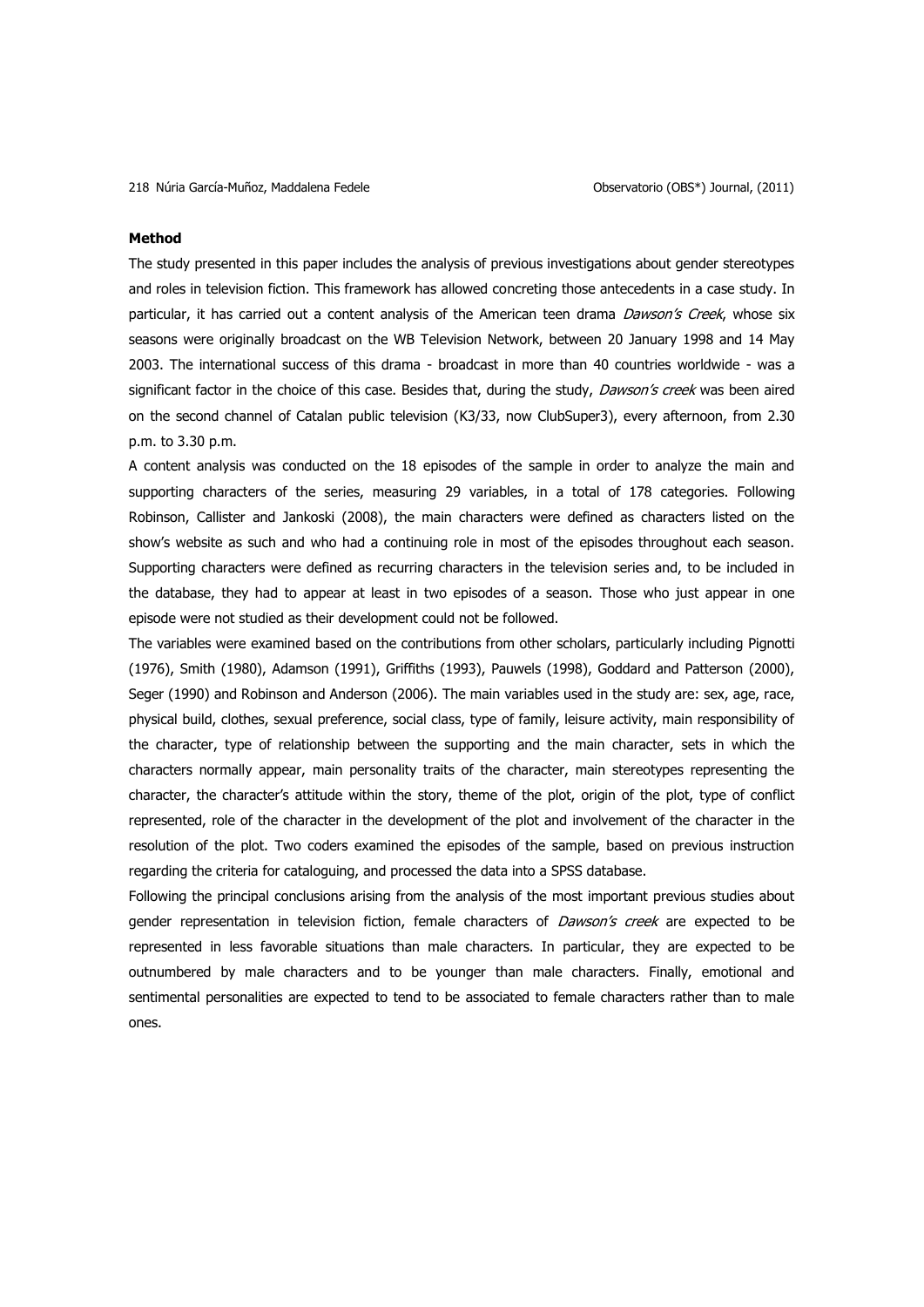### **Method**

The study presented in this paper includes the analysis of previous investigations about gender stereotypes and roles in television fiction. This framework has allowed concreting those antecedents in a case study. In particular, it has carried out a content analysis of the American teen drama Dawson's Creek, whose six seasons were originally broadcast on the WB Television Network, between 20 January 1998 and 14 May 2003. The international success of this drama - broadcast in more than 40 countries worldwide - was a significant factor in the choice of this case. Besides that, during the study, Dawson's creek was been aired on the second channel of Catalan public television (K3/33, now ClubSuper3), every afternoon, from 2.30 p.m. to 3.30 p.m.

A content analysis was conducted on the 18 episodes of the sample in order to analyze the main and supporting characters of the series, measuring 29 variables, in a total of 178 categories. Following Robinson, Callister and Jankoski (2008), the main characters were defined as characters listed on the show"s website as such and who had a continuing role in most of the episodes throughout each season. Supporting characters were defined as recurring characters in the television series and, to be included in the database, they had to appear at least in two episodes of a season. Those who just appear in one episode were not studied as their development could not be followed.

The variables were examined based on the contributions from other scholars, particularly including Pignotti (1976), Smith (1980), Adamson (1991), Griffiths (1993), Pauwels (1998), Goddard and Patterson (2000), Seger (1990) and Robinson and Anderson (2006). The main variables used in the study are: sex, age, race, physical build, clothes, sexual preference, social class, type of family, leisure activity, main responsibility of the character, type of relationship between the supporting and the main character, sets in which the characters normally appear, main personality traits of the character, main stereotypes representing the character, the character"s attitude within the story, theme of the plot, origin of the plot, type of conflict represented, role of the character in the development of the plot and involvement of the character in the resolution of the plot. Two coders examined the episodes of the sample, based on previous instruction regarding the criteria for cataloguing, and processed the data into a SPSS database.

Following the principal conclusions arising from the analysis of the most important previous studies about gender representation in television fiction, female characters of Dawson's creek are expected to be represented in less favorable situations than male characters. In particular, they are expected to be outnumbered by male characters and to be younger than male characters. Finally, emotional and sentimental personalities are expected to tend to be associated to female characters rather than to male ones.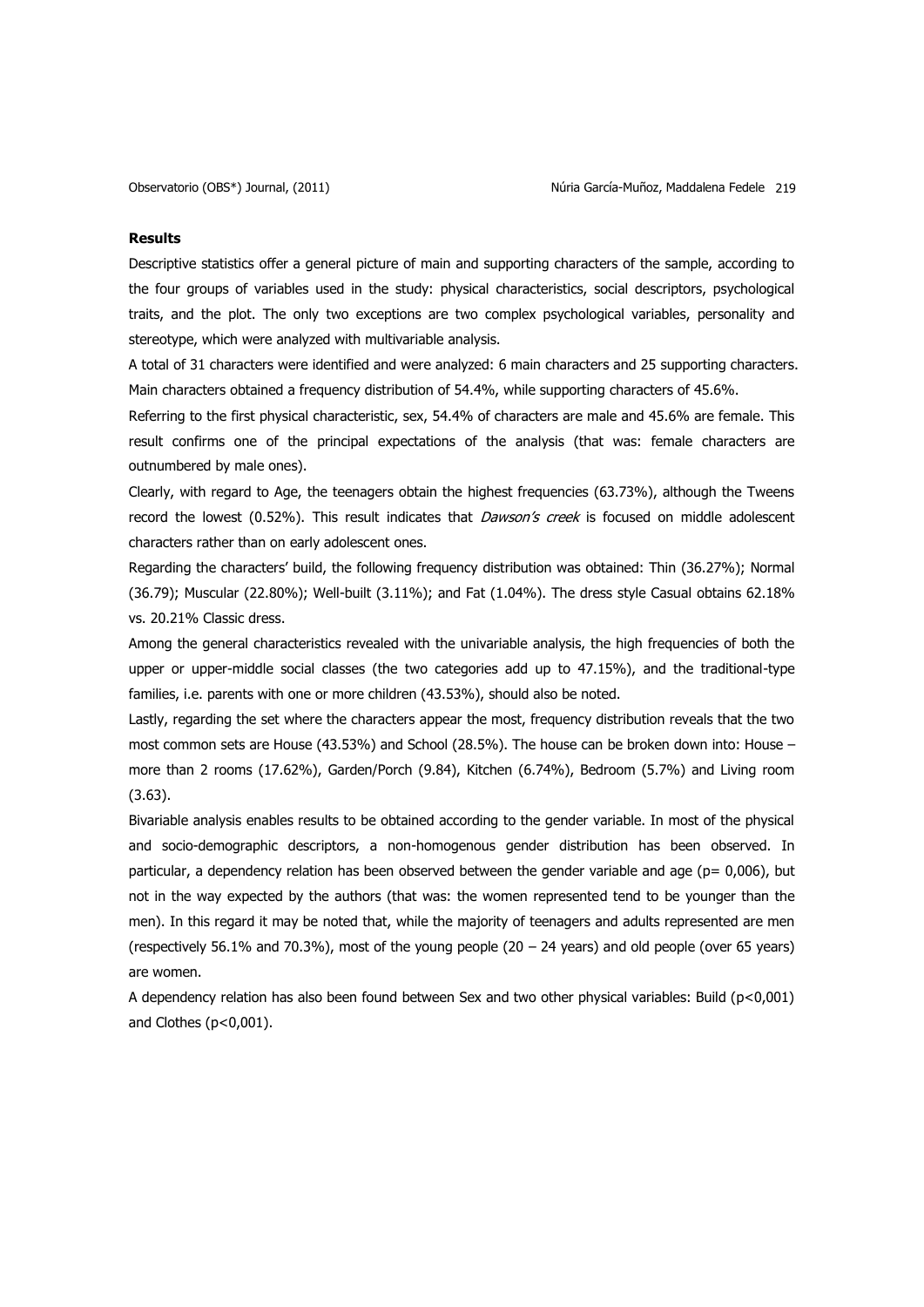## **Results**

Descriptive statistics offer a general picture of main and supporting characters of the sample, according to the four groups of variables used in the study: physical characteristics, social descriptors, psychological traits, and the plot. The only two exceptions are two complex psychological variables, personality and stereotype, which were analyzed with multivariable analysis.

A total of 31 characters were identified and were analyzed: 6 main characters and 25 supporting characters. Main characters obtained a frequency distribution of 54.4%, while supporting characters of 45.6%.

Referring to the first physical characteristic, sex, 54.4% of characters are male and 45.6% are female. This result confirms one of the principal expectations of the analysis (that was: female characters are outnumbered by male ones).

Clearly, with regard to Age, the teenagers obtain the highest frequencies (63.73%), although the Tweens record the lowest (0.52%). This result indicates that Dawson's creek is focused on middle adolescent characters rather than on early adolescent ones.

Regarding the characters" build, the following frequency distribution was obtained: Thin (36.27%); Normal (36.79); Muscular (22.80%); Well-built (3.11%); and Fat (1.04%). The dress style Casual obtains 62.18% vs. 20.21% Classic dress.

Among the general characteristics revealed with the univariable analysis, the high frequencies of both the upper or upper-middle social classes (the two categories add up to 47.15%), and the traditional-type families, i.e. parents with one or more children (43.53%), should also be noted.

Lastly, regarding the set where the characters appear the most, frequency distribution reveals that the two most common sets are House (43.53%) and School (28.5%). The house can be broken down into: House – more than 2 rooms (17.62%), Garden/Porch (9.84), Kitchen (6.74%), Bedroom (5.7%) and Living room (3.63).

Bivariable analysis enables results to be obtained according to the gender variable. In most of the physical and socio-demographic descriptors, a non-homogenous gender distribution has been observed. In particular, a dependency relation has been observed between the gender variable and age ( $p= 0.006$ ), but not in the way expected by the authors (that was: the women represented tend to be younger than the men). In this regard it may be noted that, while the majority of teenagers and adults represented are men (respectively 56.1% and 70.3%), most of the young people (20 – 24 years) and old people (over 65 years) are women.

A dependency relation has also been found between Sex and two other physical variables: Build (p<0,001) and Clothes (p<0,001).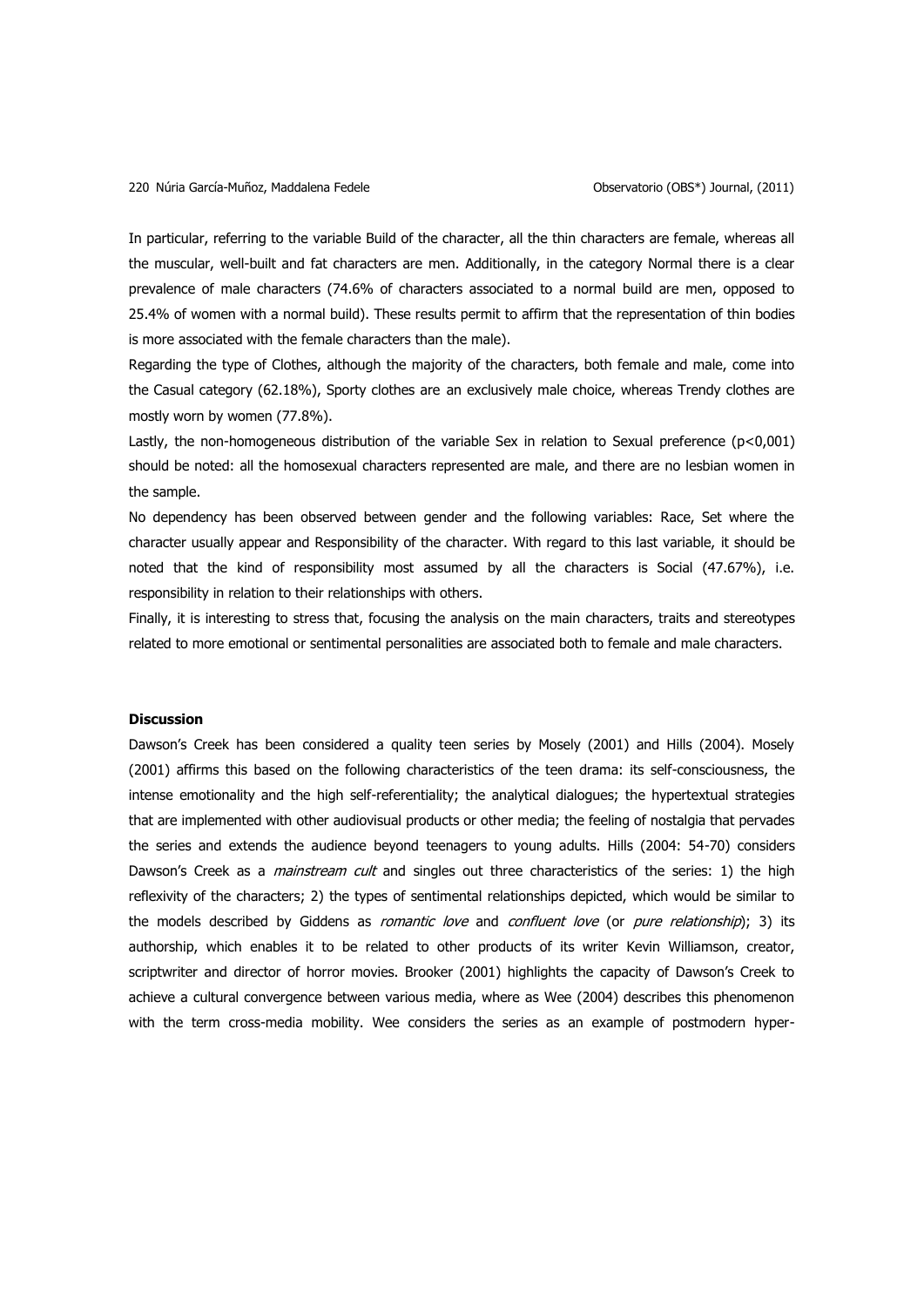In particular, referring to the variable Build of the character, all the thin characters are female, whereas all the muscular, well-built and fat characters are men. Additionally, in the category Normal there is a clear prevalence of male characters (74.6% of characters associated to a normal build are men, opposed to 25.4% of women with a normal build). These results permit to affirm that the representation of thin bodies is more associated with the female characters than the male).

Regarding the type of Clothes, although the majority of the characters, both female and male, come into the Casual category (62.18%), Sporty clothes are an exclusively male choice, whereas Trendy clothes are mostly worn by women (77.8%).

Lastly, the non-homogeneous distribution of the variable Sex in relation to Sexual preference (p<0,001) should be noted: all the homosexual characters represented are male, and there are no lesbian women in the sample.

No dependency has been observed between gender and the following variables: Race, Set where the character usually appear and Responsibility of the character. With regard to this last variable, it should be noted that the kind of responsibility most assumed by all the characters is Social (47.67%), i.e. responsibility in relation to their relationships with others.

Finally, it is interesting to stress that, focusing the analysis on the main characters, traits and stereotypes related to more emotional or sentimental personalities are associated both to female and male characters.

## **Discussion**

Dawson"s Creek has been considered a quality teen series by Mosely (2001) and Hills (2004). Mosely (2001) affirms this based on the following characteristics of the teen drama: its self-consciousness, the intense emotionality and the high self-referentiality; the analytical dialogues; the hypertextual strategies that are implemented with other audiovisual products or other media; the feeling of nostalgia that pervades the series and extends the audience beyond teenagers to young adults. Hills (2004: 54-70) considers Dawson's Creek as a *mainstream cult* and singles out three characteristics of the series: 1) the high reflexivity of the characters; 2) the types of sentimental relationships depicted, which would be similar to the models described by Giddens as *romantic love* and *confluent love* (or *pure relationship*); 3) its authorship, which enables it to be related to other products of its writer Kevin Williamson, creator, scriptwriter and director of horror movies. Brooker (2001) highlights the capacity of Dawson"s Creek to achieve a cultural convergence between various media, where as Wee (2004) describes this phenomenon with the term cross-media mobility. Wee considers the series as an example of postmodern hyper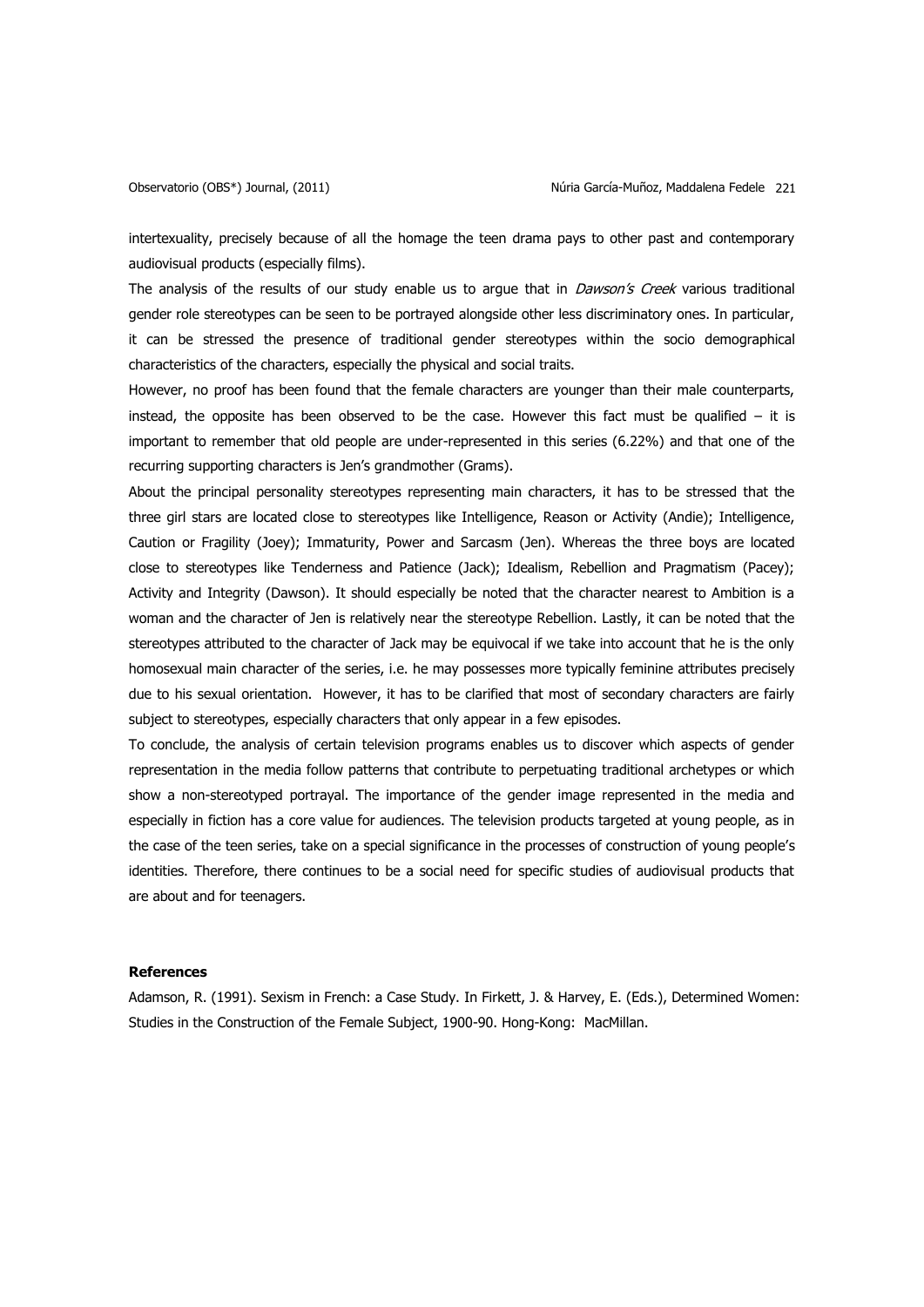intertexuality, precisely because of all the homage the teen drama pays to other past and contemporary audiovisual products (especially films).

The analysis of the results of our study enable us to argue that in Dawson's Creek various traditional gender role stereotypes can be seen to be portrayed alongside other less discriminatory ones. In particular, it can be stressed the presence of traditional gender stereotypes within the socio demographical characteristics of the characters, especially the physical and social traits.

However, no proof has been found that the female characters are younger than their male counterparts, instead, the opposite has been observed to be the case. However this fact must be qualified  $-$  it is important to remember that old people are under-represented in this series (6.22%) and that one of the recurring supporting characters is Jen's grandmother (Grams).

About the principal personality stereotypes representing main characters, it has to be stressed that the three girl stars are located close to stereotypes like Intelligence, Reason or Activity (Andie); Intelligence, Caution or Fragility (Joey); Immaturity, Power and Sarcasm (Jen). Whereas the three boys are located close to stereotypes like Tenderness and Patience (Jack); Idealism, Rebellion and Pragmatism (Pacey); Activity and Integrity (Dawson). It should especially be noted that the character nearest to Ambition is a woman and the character of Jen is relatively near the stereotype Rebellion. Lastly, it can be noted that the stereotypes attributed to the character of Jack may be equivocal if we take into account that he is the only homosexual main character of the series, i.e. he may possesses more typically feminine attributes precisely due to his sexual orientation. However, it has to be clarified that most of secondary characters are fairly subject to stereotypes, especially characters that only appear in a few episodes.

To conclude, the analysis of certain television programs enables us to discover which aspects of gender representation in the media follow patterns that contribute to perpetuating traditional archetypes or which show a non-stereotyped portrayal. The importance of the gender image represented in the media and especially in fiction has a core value for audiences. The television products targeted at young people, as in the case of the teen series, take on a special significance in the processes of construction of young people"s identities. Therefore, there continues to be a social need for specific studies of audiovisual products that are about and for teenagers.

## **References**

Adamson, R. (1991). Sexism in French: a Case Study. In Firkett, J. & Harvey, E. (Eds.), Determined Women: Studies in the Construction of the Female Subject, 1900-90. Hong-Kong: MacMillan.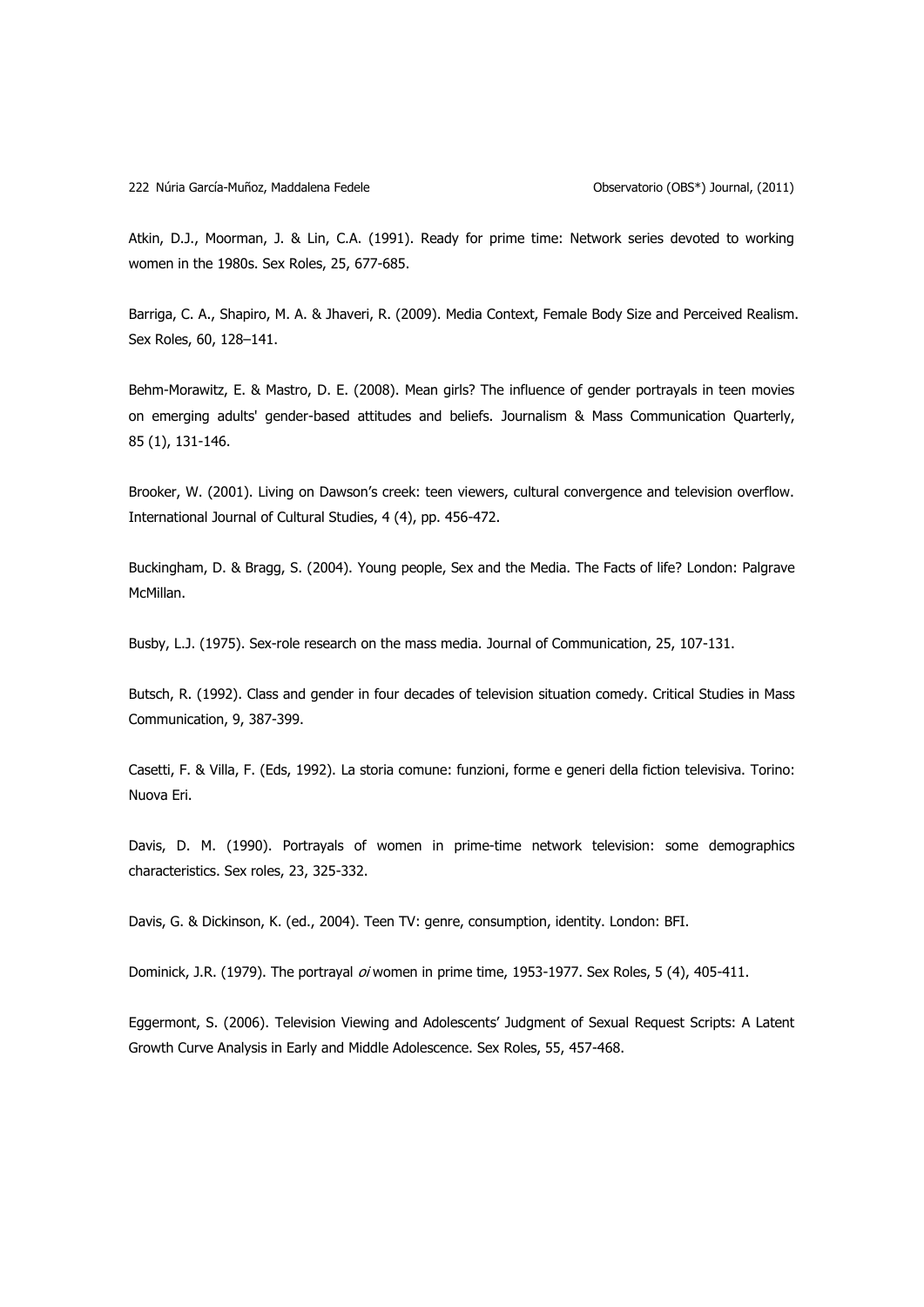Atkin, D.J., Moorman, J. & Lin, C.A. (1991). Ready for prime time: Network series devoted to working women in the 1980s. Sex Roles, 25, 677-685.

Barriga, C. A., Shapiro, M. A. & Jhaveri, R. (2009). Media Context, Female Body Size and Perceived Realism. Sex Roles, 60, 128–141.

Behm-Morawitz, E. & Mastro, D. E. (2008). Mean girls? The influence of gender portrayals in teen movies on emerging adults' gender-based attitudes and beliefs. Journalism & Mass Communication Quarterly, 85 (1), 131-146.

Brooker, W. (2001). Living on Dawson"s creek: teen viewers, cultural convergence and television overflow. International Journal of Cultural Studies, 4 (4), pp. 456-472.

Buckingham, D. & Bragg, S. (2004). Young people, Sex and the Media. The Facts of life? London: Palgrave McMillan.

Busby, L.J. (1975). Sex-role research on the mass media. Journal of Communication, 25, 107-131.

Butsch, R. (1992). Class and gender in four decades of television situation comedy. Critical Studies in Mass Communication, 9, 387-399.

Casetti, F. & Villa, F. (Eds, 1992). La storia comune: funzioni, forme e generi della fiction televisiva. Torino: Nuova Eri.

Davis, D. M. (1990). Portrayals of women in prime-time network television: some demographics characteristics. Sex roles, 23, 325-332.

Davis, G. & Dickinson, K. (ed., 2004). Teen TV: genre, consumption, identity. London: BFI.

Dominick, J.R. (1979). The portrayal oi women in prime time, 1953-1977. Sex Roles, 5 (4), 405-411.

Eggermont, S. (2006). Television Viewing and Adolescents" Judgment of Sexual Request Scripts: A Latent Growth Curve Analysis in Early and Middle Adolescence. Sex Roles, 55, 457-468.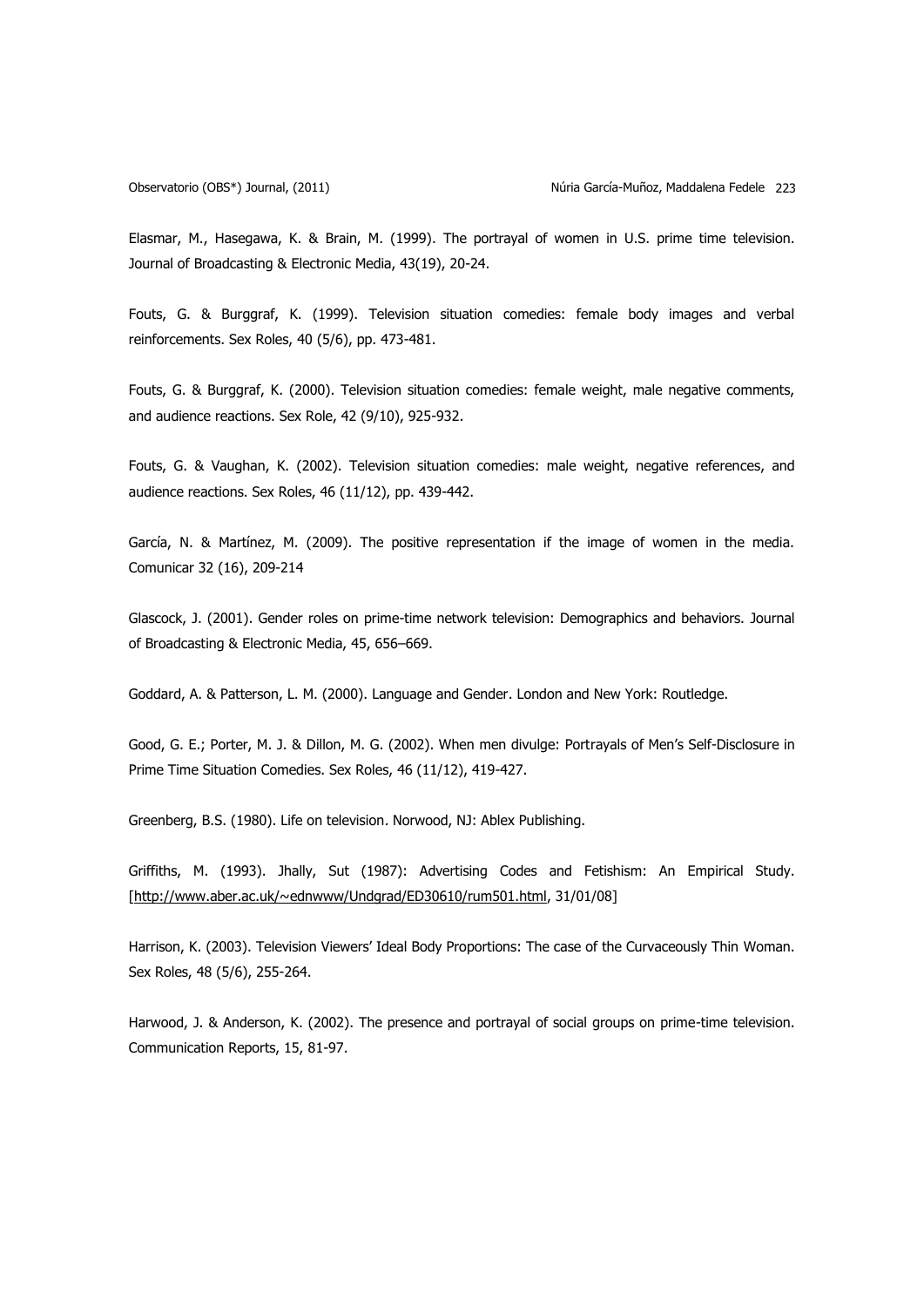Elasmar, M., Hasegawa, K. & Brain, M. (1999). The portrayal of women in U.S. prime time television. Journal of Broadcasting & Electronic Media, 43(19), 20-24.

Fouts, G. & Burggraf, K. (1999). Television situation comedies: female body images and verbal reinforcements. Sex Roles, 40 (5/6), pp. 473-481.

Fouts, G. & Burggraf, K. (2000). Television situation comedies: female weight, male negative comments, and audience reactions. Sex Role, 42 (9/10), 925-932.

Fouts, G. & Vaughan, K. (2002). Television situation comedies: male weight, negative references, and audience reactions. Sex Roles, 46 (11/12), pp. 439-442.

García, N. & Martínez, M. (2009). The positive representation if the image of women in the media. Comunicar 32 (16), 209-214

Glascock, J. (2001). Gender roles on prime-time network television: Demographics and behaviors. Journal of Broadcasting & Electronic Media, 45, 656–669.

Goddard, A. & Patterson, L. M. (2000). Language and Gender. London and New York: Routledge.

Good, G. E.; Porter, M. J. & Dillon, M. G. (2002). When men divulge: Portrayals of Men"s Self-Disclosure in Prime Time Situation Comedies. Sex Roles, 46 (11/12), 419-427.

Greenberg, B.S. (1980). Life on television. Norwood, NJ: Ablex Publishing.

Griffiths, M. (1993). Jhally, Sut (1987): Advertising Codes and Fetishism: An Empirical Study. [\[http://www.aber.ac.uk/~ednwww/Undgrad/ED30610/rum501.html,](http://www.aber.ac.uk/~ednwww/Undgrad/ED30610/rum501.html) 31/01/08]

Harrison, K. (2003). Television Viewers" Ideal Body Proportions: The case of the Curvaceously Thin Woman. Sex Roles, 48 (5/6), 255-264.

Harwood, J. & Anderson, K. (2002). The presence and portrayal of social groups on prime-time television. Communication Reports, 15, 81-97.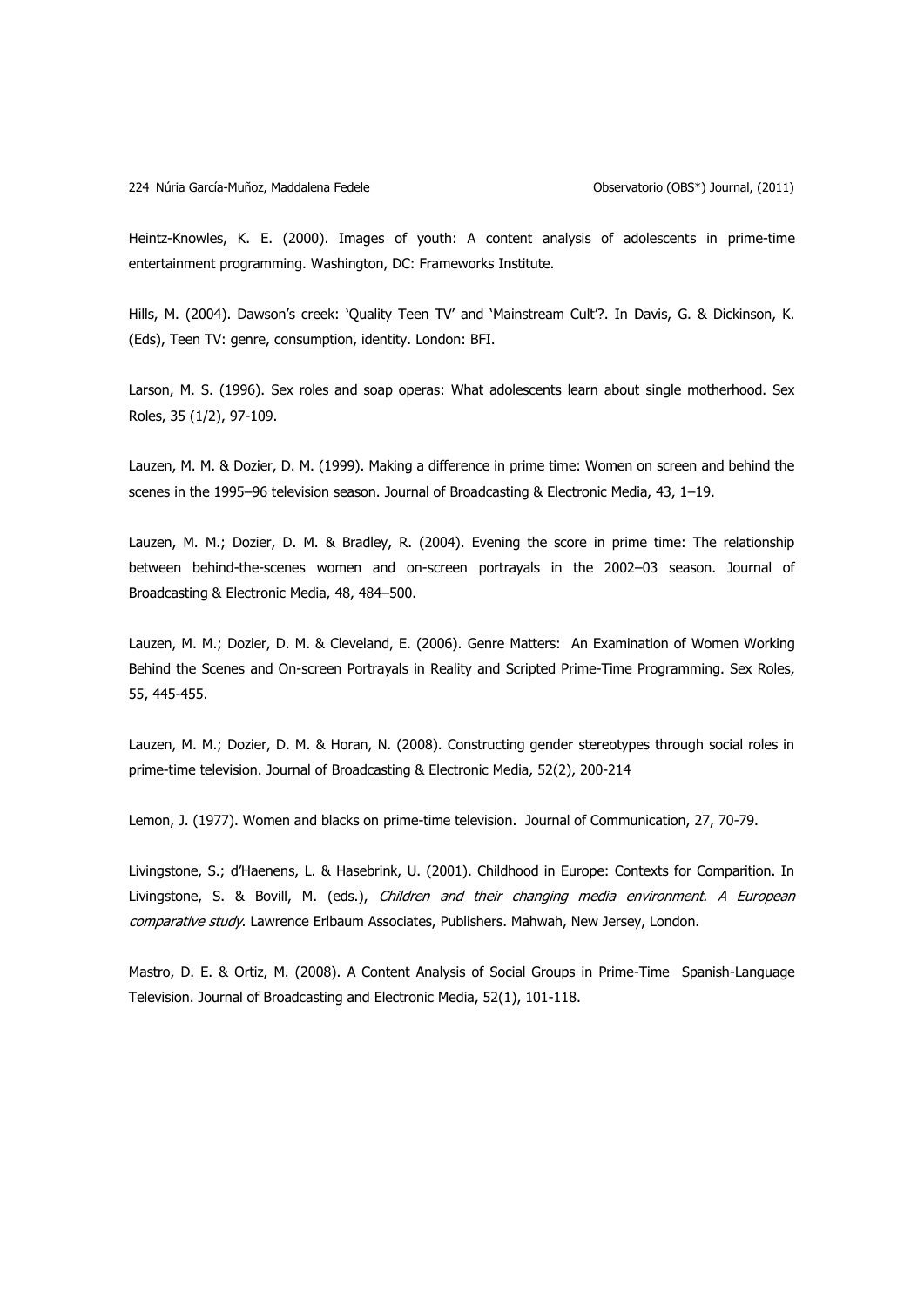Heintz-Knowles, K. E. (2000). Images of youth: A content analysis of adolescents in prime-time entertainment programming. Washington, DC: Frameworks Institute.

Hills, M. (2004). Dawson's creek: 'Quality Teen TV' and 'Mainstream Cult'?. In Davis, G. & Dickinson, K. (Eds), Teen TV: genre, consumption, identity. London: BFI.

Larson, M. S. (1996). Sex roles and soap operas: What adolescents learn about single motherhood. Sex Roles, 35 (1/2), 97-109.

Lauzen, M. M. & Dozier, D. M. (1999). Making a difference in prime time: Women on screen and behind the scenes in the 1995–96 television season. Journal of Broadcasting & Electronic Media, 43, 1–19.

Lauzen, M. M.; Dozier, D. M. & Bradley, R. (2004). Evening the score in prime time: The relationship between behind-the-scenes women and on-screen portrayals in the 2002–03 season. Journal of Broadcasting & Electronic Media, 48, 484–500.

Lauzen, M. M.; Dozier, D. M. & Cleveland, E. (2006). Genre Matters: An Examination of Women Working Behind the Scenes and On-screen Portrayals in Reality and Scripted Prime-Time Programming. Sex Roles, 55, 445-455.

Lauzen, M. M.; Dozier, D. M. & Horan, N. (2008). Constructing gender stereotypes through social roles in prime-time television. Journal of Broadcasting & Electronic Media, 52(2), 200-214

Lemon, J. (1977). Women and blacks on prime-time television. Journal of Communication, 27, 70-79.

Livingstone, S.; d"Haenens, L. & Hasebrink, U. (2001). Childhood in Europe: Contexts for Comparition. In Livingstone, S. & Bovill, M. (eds.), Children and their changing media environment. A European comparative study. Lawrence Erlbaum Associates, Publishers. Mahwah, New Jersey, London.

Mastro, D. E. & Ortiz, M. (2008). A Content Analysis of Social Groups in Prime-Time Spanish-Language Television. Journal of Broadcasting and Electronic Media, 52(1), 101-118.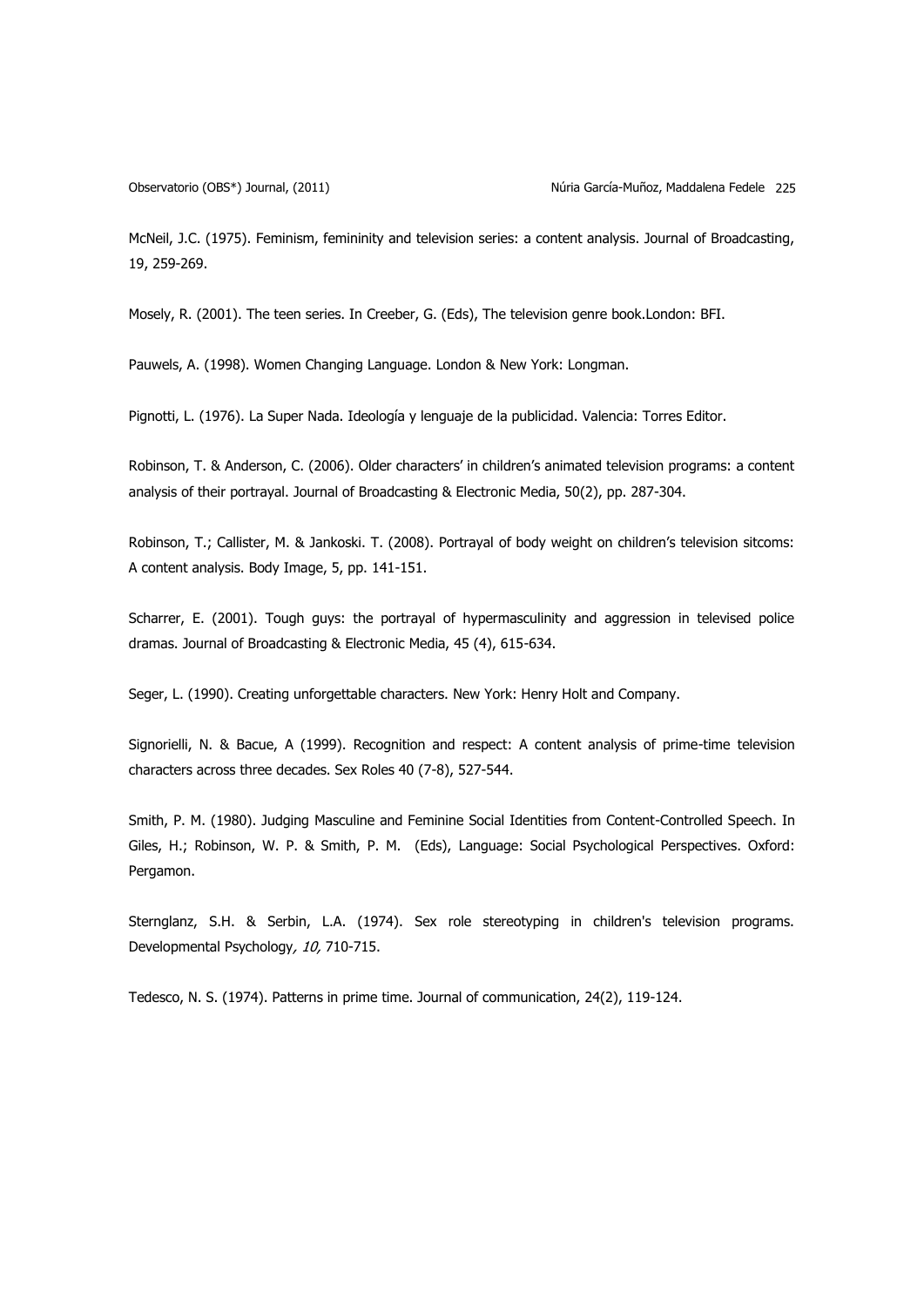Observatorio (OBS\*) Journal, (2011) Núria García-Muñoz, Maddalena Fedele 225

McNeil, J.C. (1975). Feminism, femininity and television series: a content analysis. Journal of Broadcasting, 19, 259-269.

Mosely, R. (2001). The teen series. In Creeber, G. (Eds), The television genre book.London: BFI.

Pauwels, A. (1998). Women Changing Language. London & New York: Longman.

Pignotti, L. (1976). La Super Nada. Ideología y lenguaje de la publicidad. Valencia: Torres Editor.

Robinson, T. & Anderson, C. (2006). Older characters" in children"s animated television programs: a content analysis of their portrayal. Journal of Broadcasting & Electronic Media, 50(2), pp. 287-304.

Robinson, T.; Callister, M. & Jankoski. T. (2008). Portrayal of body weight on children"s television sitcoms: A content analysis. Body Image, 5, pp. 141-151.

Scharrer, E. (2001). Tough guys: the portrayal of hypermasculinity and aggression in televised police dramas. Journal of Broadcasting & Electronic Media, 45 (4), 615-634.

Seger, L. (1990). Creating unforgettable characters. New York: Henry Holt and Company.

Signorielli, N. & Bacue, A (1999). Recognition and respect: A content analysis of prime-time television characters across three decades. Sex Roles 40 (7-8), 527-544.

Smith, P. M. (1980). Judging Masculine and Feminine Social Identities from Content-Controlled Speech. In Giles, H.; Robinson, W. P. & Smith, P. M. (Eds), Language: Social Psychological Perspectives. Oxford: Pergamon.

Sternglanz, S.H. & Serbin, L.A. (1974). Sex role stereotyping in children's television programs. Developmental Psychology, 10, 710-715.

Tedesco, N. S. (1974). Patterns in prime time. Journal of communication, 24(2), 119-124.